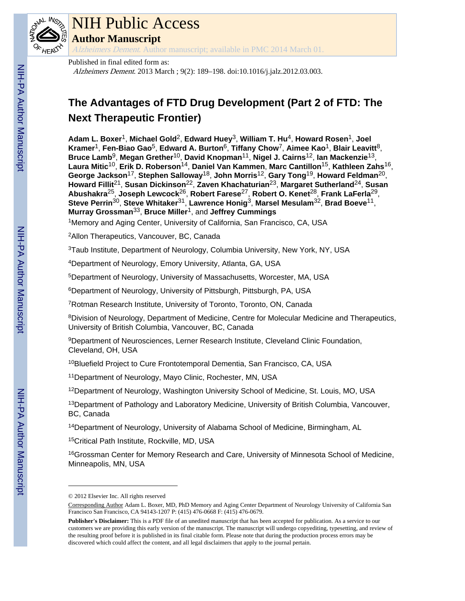

## NIH Public Access

**Author Manuscript**

Alzheimers Dement. Author manuscript; available in PMC 2014 March 01.

#### Published in final edited form as:

Alzheimers Dement. 2013 March ; 9(2): 189–198. doi:10.1016/j.jalz.2012.03.003.

### **The Advantages of FTD Drug Development (Part 2 of FTD: The Next Therapeutic Frontier)**

**Adam L. Boxer**1, **Michael Gold**2, **Edward Huey**3, **William T. Hu**4, **Howard Rosen**1, **Joel Kramer**1, **Fen-Biao Gao**5, **Edward A. Burton**6, **Tiffany Chow**7, **Aimee Kao**1, **Blair Leavitt**8, **Bruce Lamb**9, **Megan Grether**10, **David Knopman**11, **Nigel J. Cairns**12, **Ian Mackenzie**13, **Laura Mitic**10, **Erik D. Roberson**14, **Daniel Van Kammen**, **Marc Cantillon**15, **Kathleen Zahs**16, **George Jackson**17, **Stephen Salloway**18, **John Morris**12, **Gary Tong**19, **Howard Feldman**20, **Howard Fillit**21, **Susan Dickinson**22, **Zaven Khachaturian**23, **Margaret Sutherland**24, **Susan Abushakra**25, **Joseph Lewcock**26, **Robert Farese**27, **Robert O. Kenet**28, **Frank LaFerla**29, **Steve Perrin**30, **Steve Whitaker**31, **Lawrence Honig**3, **Marsel Mesulam**32, **Brad Boeve**11, **Murray Grossman**33, **Bruce Miller**1, and **Jeffrey Cummings**

<sup>1</sup>Memory and Aging Center, University of California, San Francisco, CA, USA

<sup>2</sup>Allon Therapeutics, Vancouver, BC, Canada

<sup>3</sup>Taub Institute, Department of Neurology, Columbia University, New York, NY, USA

<sup>4</sup>Department of Neurology, Emory University, Atlanta, GA, USA

<sup>5</sup>Department of Neurology, University of Massachusetts, Worcester, MA, USA

<sup>6</sup>Department of Neurology, University of Pittsburgh, Pittsburgh, PA, USA

<sup>7</sup>Rotman Research Institute, University of Toronto, Toronto, ON, Canada

<sup>8</sup>Division of Neurology, Department of Medicine, Centre for Molecular Medicine and Therapeutics, University of British Columbia, Vancouver, BC, Canada

<sup>9</sup>Department of Neurosciences, Lerner Research Institute, Cleveland Clinic Foundation, Cleveland, OH, USA

<sup>10</sup>Bluefield Project to Cure Frontotemporal Dementia, San Francisco, CA, USA

<sup>11</sup>Department of Neurology, Mayo Clinic, Rochester, MN, USA

<sup>12</sup>Department of Neurology, Washington University School of Medicine, St. Louis, MO, USA

<sup>13</sup>Department of Pathology and Laboratory Medicine, University of British Columbia, Vancouver, BC, Canada

<sup>14</sup>Department of Neurology, University of Alabama School of Medicine, Birmingham, AL

<sup>15</sup>Critical Path Institute, Rockville, MD, USA

<sup>16</sup>Grossman Center for Memory Research and Care, University of Minnesota School of Medicine, Minneapolis, MN, USA

<sup>© 2012</sup> Elsevier Inc. All rights reserved

Corresponding Author Adam L. Boxer, MD, PhD Memory and Aging Center Department of Neurology University of California San Francisco San Francisco, CA 94143-1207 P: (415) 476-0668 F: (415) 476-0679.

**Publisher's Disclaimer:** This is a PDF file of an unedited manuscript that has been accepted for publication. As a service to our customers we are providing this early version of the manuscript. The manuscript will undergo copyediting, typesetting, and review of the resulting proof before it is published in its final citable form. Please note that during the production process errors may be discovered which could affect the content, and all legal disclaimers that apply to the journal pertain.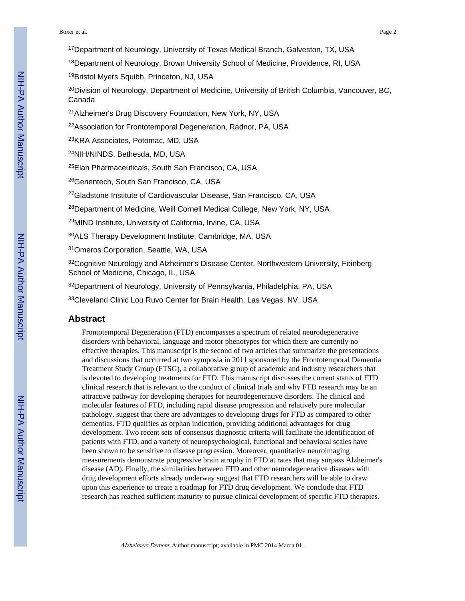#### Boxer et al. Page 2

- <sup>17</sup>Department of Neurology, University of Texas Medical Branch, Galveston, TX, USA
- <sup>18</sup>Department of Neurology, Brown University School of Medicine, Providence, RI, USA
- <sup>19</sup>Bristol Myers Squibb, Princeton, NJ, USA
- $^{20}$ Division of Neurology, Department of Medicine, University of British Columbia, Vancouver, BC, Canada
- <sup>21</sup>Alzheimer's Drug Discovery Foundation, New York, NY, USA
- <sup>22</sup>Association for Frontotemporal Degeneration, Radnor, PA, USA
- <sup>23</sup>KRA Associates, Potomac, MD, USA
- <sup>24</sup>NIH/NINDS, Bethesda, MD, USA
- <sup>25</sup>Elan Pharmaceuticals, South San Francisco, CA, USA
- <sup>26</sup>Genentech, South San Francisco, CA, USA
- <sup>27</sup>Gladstone Institute of Cardiovascular Disease, San Francisco, CA, USA
- <sup>28</sup>Department of Medicine, Weill Cornell Medical College, New York, NY, USA
- <sup>29</sup>MIND Institute, University of California, Irvine, CA, USA
- <sup>30</sup>ALS Therapy Development Institute, Cambridge, MA, USA
- <sup>31</sup>Omeros Corporation, Seattle, WA, USA
- 32Cognitive Neurology and Alzheimer's Disease Center, Northwestern University, Feinberg School of Medicine, Chicago, IL, USA
- <sup>32</sup>Department of Neurology, University of Pennsylvania, Philadelphia, PA, USA
- 33 Cleveland Clinic Lou Ruvo Center for Brain Health, Las Vegas, NV, USA

#### **Abstract**

Frontotemporal Degeneration (FTD) encompasses a spectrum of related neurodegenerative disorders with behavioral, language and motor phenotypes for which there are currently no effective therapies. This manuscript is the second of two articles that summarize the presentations and discussions that occurred at two symposia in 2011 sponsored by the Frontotemporal Dementia Treatment Study Group (FTSG), a collaborative group of academic and industry researchers that is devoted to developing treatments for FTD. This manuscript discusses the current status of FTD clinical research that is relevant to the conduct of clinical trials and why FTD research may be an attractive pathway for developing therapies for neurodegenerative disorders. The clinical and molecular features of FTD, including rapid disease progression and relatively pure molecular pathology, suggest that there are advantages to developing drugs for FTD as compared to other dementias. FTD qualifies as orphan indication, providing additional advantages for drug development. Two recent sets of consensus diagnostic criteria will facilitate the identification of patients with FTD, and a variety of neuropsychological, functional and behavioral scales have been shown to be sensitive to disease progression. Moreover, quantitative neuroimaging measurements demonstrate progressive brain atrophy in FTD at rates that may surpass Alzheimer's disease (AD). Finally, the similarities between FTD and other neurodegenerative diseases with drug development efforts already underway suggest that FTD researchers will be able to draw upon this experience to create a roadmap for FTD drug development. We conclude that FTD research has reached sufficient maturity to pursue clinical development of specific FTD therapies.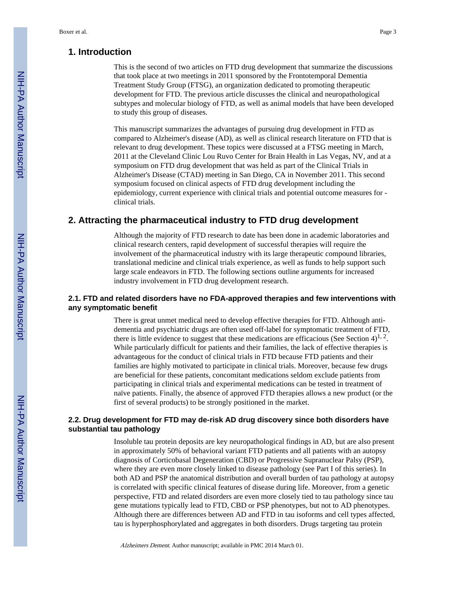#### **1. Introduction**

This is the second of two articles on FTD drug development that summarize the discussions that took place at two meetings in 2011 sponsored by the Frontotemporal Dementia Treatment Study Group (FTSG), an organization dedicated to promoting therapeutic development for FTD. The previous article discusses the clinical and neuropathological subtypes and molecular biology of FTD, as well as animal models that have been developed to study this group of diseases.

This manuscript summarizes the advantages of pursuing drug development in FTD as compared to Alzheimer's disease (AD), as well as clinical research literature on FTD that is relevant to drug development. These topics were discussed at a FTSG meeting in March, 2011 at the Cleveland Clinic Lou Ruvo Center for Brain Health in Las Vegas, NV, and at a symposium on FTD drug development that was held as part of the Clinical Trials in Alzheimer's Disease (CTAD) meeting in San Diego, CA in November 2011. This second symposium focused on clinical aspects of FTD drug development including the epidemiology, current experience with clinical trials and potential outcome measures for clinical trials.

#### **2. Attracting the pharmaceutical industry to FTD drug development**

Although the majority of FTD research to date has been done in academic laboratories and clinical research centers, rapid development of successful therapies will require the involvement of the pharmaceutical industry with its large therapeutic compound libraries, translational medicine and clinical trials experience, as well as funds to help support such large scale endeavors in FTD. The following sections outline arguments for increased industry involvement in FTD drug development research.

#### **2.1. FTD and related disorders have no FDA-approved therapies and few interventions with any symptomatic benefit**

There is great unmet medical need to develop effective therapies for FTD. Although antidementia and psychiatric drugs are often used off-label for symptomatic treatment of FTD, there is little evidence to suggest that these medications are efficacious (See Section 4)<sup>1, 2</sup>. While particularly difficult for patients and their families, the lack of effective therapies is advantageous for the conduct of clinical trials in FTD because FTD patients and their families are highly motivated to participate in clinical trials. Moreover, because few drugs are beneficial for these patients, concomitant medications seldom exclude patients from participating in clinical trials and experimental medications can be tested in treatment of naïve patients. Finally, the absence of approved FTD therapies allows a new product (or the first of several products) to be strongly positioned in the market.

#### **2.2. Drug development for FTD may de-risk AD drug discovery since both disorders have substantial tau pathology**

Insoluble tau protein deposits are key neuropathological findings in AD, but are also present in approximately 50% of behavioral variant FTD patients and all patients with an autopsy diagnosis of Corticobasal Degeneration (CBD) or Progressive Supranuclear Palsy (PSP), where they are even more closely linked to disease pathology (see Part I of this series). In both AD and PSP the anatomical distribution and overall burden of tau pathology at autopsy is correlated with specific clinical features of disease during life. Moreover, from a genetic perspective, FTD and related disorders are even more closely tied to tau pathology since tau gene mutations typically lead to FTD, CBD or PSP phenotypes, but not to AD phenotypes. Although there are differences between AD and FTD in tau isoforms and cell types affected, tau is hyperphosphorylated and aggregates in both disorders. Drugs targeting tau protein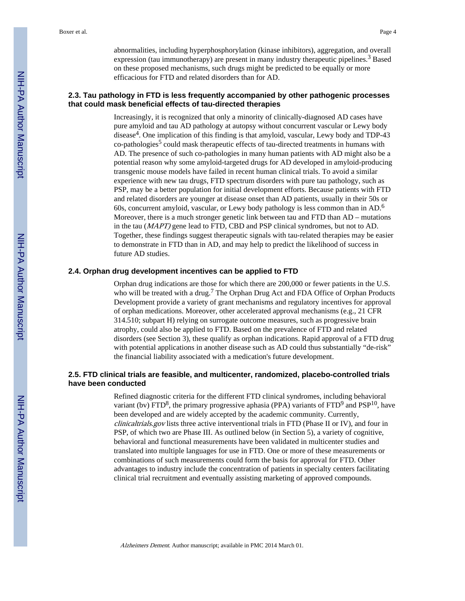abnormalities, including hyperphosphorylation (kinase inhibitors), aggregation, and overall expression (tau immunotherapy) are present in many industry therapeutic pipelines.<sup>3</sup> Based on these proposed mechanisms, such drugs might be predicted to be equally or more efficacious for FTD and related disorders than for AD.

#### **2.3. Tau pathology in FTD is less frequently accompanied by other pathogenic processes that could mask beneficial effects of tau-directed therapies**

Increasingly, it is recognized that only a minority of clinically-diagnosed AD cases have pure amyloid and tau AD pathology at autopsy without concurrent vascular or Lewy body disease<sup>4</sup>. One implication of this finding is that amyloid, vascular, Lewy body and TDP-43 co-pathologies<sup>5</sup> could mask therapeutic effects of tau-directed treatments in humans with AD. The presence of such co-pathologies in many human patients with AD might also be a potential reason why some amyloid-targeted drugs for AD developed in amyloid-producing transgenic mouse models have failed in recent human clinical trials. To avoid a similar experience with new tau drugs, FTD spectrum disorders with pure tau pathology, such as PSP, may be a better population for initial development efforts. Because patients with FTD and related disorders are younger at disease onset than AD patients, usually in their 50s or 60s, concurrent amyloid, vascular, or Lewy body pathology is less common than in AD.<sup>6</sup> Moreover, there is a much stronger genetic link between tau and FTD than AD – mutations in the tau (MAPT) gene lead to FTD, CBD and PSP clinical syndromes, but not to AD. Together, these findings suggest therapeutic signals with tau-related therapies may be easier to demonstrate in FTD than in AD, and may help to predict the likelihood of success in future AD studies.

#### **2.4. Orphan drug development incentives can be applied to FTD**

Orphan drug indications are those for which there are 200,000 or fewer patients in the U.S. who will be treated with a drug.<sup>7</sup> The Orphan Drug Act and FDA Office of Orphan Products Development provide a variety of grant mechanisms and regulatory incentives for approval of orphan medications. Moreover, other accelerated approval mechanisms (e.g., 21 CFR 314.510; subpart H) relying on surrogate outcome measures, such as progressive brain atrophy, could also be applied to FTD. Based on the prevalence of FTD and related disorders (see Section 3), these qualify as orphan indications. Rapid approval of a FTD drug with potential applications in another disease such as AD could thus substantially "de-risk" the financial liability associated with a medication's future development.

#### **2.5. FTD clinical trials are feasible, and multicenter, randomized, placebo-controlled trials have been conducted**

Refined diagnostic criteria for the different FTD clinical syndromes, including behavioral variant (bv)  $\text{FTD}^8$ , the primary progressive aphasia (PPA) variants of  $\text{FTD}^9$  and  $\text{PSP}^{10}$ , have been developed and are widely accepted by the academic community. Currently, clinicaltrials.gov lists three active interventional trials in FTD (Phase II or IV), and four in PSP, of which two are Phase III. As outlined below (in Section 5), a variety of cognitive, behavioral and functional measurements have been validated in multicenter studies and translated into multiple languages for use in FTD. One or more of these measurements or combinations of such measurements could form the basis for approval for FTD. Other advantages to industry include the concentration of patients in specialty centers facilitating clinical trial recruitment and eventually assisting marketing of approved compounds.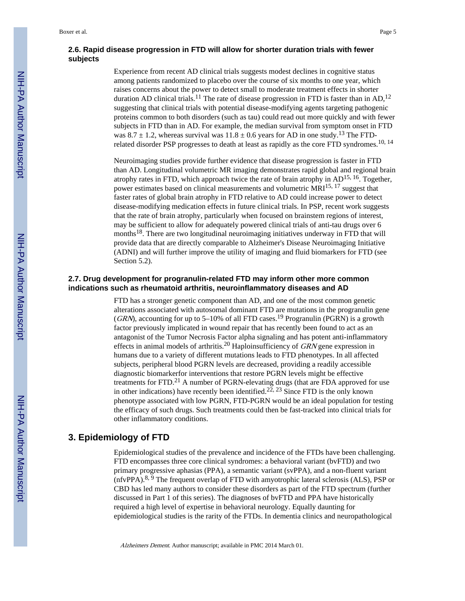#### **2.6. Rapid disease progression in FTD will allow for shorter duration trials with fewer subjects**

Experience from recent AD clinical trials suggests modest declines in cognitive status among patients randomized to placebo over the course of six months to one year, which raises concerns about the power to detect small to moderate treatment effects in shorter duration AD clinical trials.<sup>11</sup> The rate of disease progression in FTD is faster than in AD,<sup>12</sup> suggesting that clinical trials with potential disease-modifying agents targeting pathogenic proteins common to both disorders (such as tau) could read out more quickly and with fewer subjects in FTD than in AD. For example, the median survival from symptom onset in FTD was  $8.7 \pm 1.2$ , whereas survival was  $11.8 \pm 0.6$  years for AD in one study.<sup>13</sup> The FTDrelated disorder PSP progresses to death at least as rapidly as the core FTD syndromes.<sup>10, 14</sup>

Neuroimaging studies provide further evidence that disease progression is faster in FTD than AD. Longitudinal volumetric MR imaging demonstrates rapid global and regional brain atrophy rates in FTD, which approach twice the rate of brain atrophy in AD15, 16. Together, power estimates based on clinical measurements and volumetric MRI15, 17 suggest that faster rates of global brain atrophy in FTD relative to AD could increase power to detect disease-modifying medication effects in future clinical trials. In PSP, recent work suggests that the rate of brain atrophy, particularly when focused on brainstem regions of interest, may be sufficient to allow for adequately powered clinical trials of anti-tau drugs over 6 months18. There are two longitudinal neuroimaging initiatives underway in FTD that will provide data that are directly comparable to Alzheimer's Disease Neuroimaging Initiative (ADNI) and will further improve the utility of imaging and fluid biomarkers for FTD (see Section 5.2).

#### **2.7. Drug development for progranulin-related FTD may inform other more common indications such as rheumatoid arthritis, neuroinflammatory diseases and AD**

FTD has a stronger genetic component than AD, and one of the most common genetic alterations associated with autosomal dominant FTD are mutations in the progranulin gene (GRN), accounting for up to 5–10% of all FTD cases.<sup>19</sup> Progranulin (PGRN) is a growth factor previously implicated in wound repair that has recently been found to act as an antagonist of the Tumor Necrosis Factor alpha signaling and has potent anti-inflammatory effects in animal models of arthritis.<sup>20</sup> Haploinsufficiency of  $GRN$  gene expression in humans due to a variety of different mutations leads to FTD phenotypes. In all affected subjects, peripheral blood PGRN levels are decreased, providing a readily accessible diagnostic biomarkerfor interventions that restore PGRN levels might be effective treatments for FTD.<sup>21</sup> A number of PGRN-elevating drugs (that are FDA approved for use in other indications) have recently been identified.<sup>22, 23</sup> Since FTD is the only known phenotype associated with low PGRN, FTD-PGRN would be an ideal population for testing the efficacy of such drugs. Such treatments could then be fast-tracked into clinical trials for other inflammatory conditions.

#### **3. Epidemiology of FTD**

Epidemiological studies of the prevalence and incidence of the FTDs have been challenging. FTD encompasses three core clinical syndromes: a behavioral variant (bvFTD) and two primary progressive aphasias (PPA), a semantic variant (svPPA), and a non-fluent variant (nfvPPA).8, 9 The frequent overlap of FTD with amyotrophic lateral sclerosis (ALS), PSP or CBD has led many authors to consider these disorders as part of the FTD spectrum (further discussed in Part 1 of this series). The diagnoses of bvFTD and PPA have historically required a high level of expertise in behavioral neurology. Equally daunting for epidemiological studies is the rarity of the FTDs. In dementia clinics and neuropathological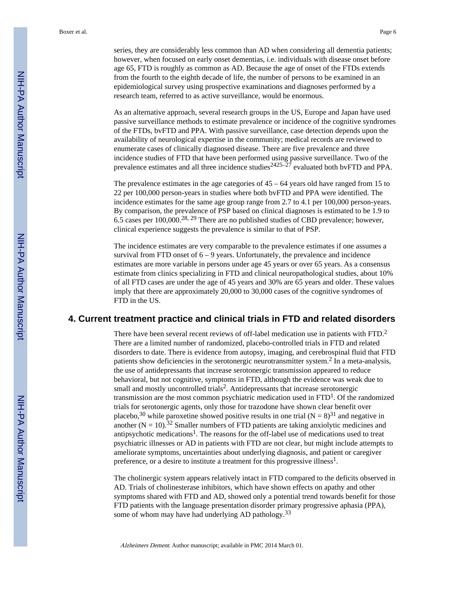series, they are considerably less common than AD when considering all dementia patients; however, when focused on early onset dementias, i.e. individuals with disease onset before age 65, FTD is roughly as common as AD. Because the age of onset of the FTDs extends from the fourth to the eighth decade of life, the number of persons to be examined in an epidemiological survey using prospective examinations and diagnoses performed by a research team, referred to as active surveillance, would be enormous.

As an alternative approach, several research groups in the US, Europe and Japan have used passive surveillance methods to estimate prevalence or incidence of the cognitive syndromes of the FTDs, bvFTD and PPA. With passive surveillance, case detection depends upon the availability of neurological expertise in the community; medical records are reviewed to enumerate cases of clinically diagnosed disease. There are five prevalence and three incidence studies of FTD that have been performed using passive surveillance. Two of the prevalence estimates and all three incidence studies  $2425-27$  evaluated both bvFTD and PPA.

The prevalence estimates in the age categories of  $45 - 64$  years old have ranged from 15 to 22 per 100,000 person-years in studies where both bvFTD and PPA were identified. The incidence estimates for the same age group range from 2.7 to 4.1 per 100,000 person-years. By comparison, the prevalence of PSP based on clinical diagnoses is estimated to be 1.9 to 6.5 cases per 100,000.28, 29 There are no published studies of CBD prevalence; however, clinical experience suggests the prevalence is similar to that of PSP.

The incidence estimates are very comparable to the prevalence estimates if one assumes a survival from FTD onset of  $6 - 9$  years. Unfortunately, the prevalence and incidence estimates are more variable in persons under age 45 years or over 65 years. As a consensus estimate from clinics specializing in FTD and clinical neuropathological studies, about 10% of all FTD cases are under the age of 45 years and 30% are 65 years and older. These values imply that there are approximately 20,000 to 30,000 cases of the cognitive syndromes of FTD in the US.

#### **4. Current treatment practice and clinical trials in FTD and related disorders**

There have been several recent reviews of off-label medication use in patients with FTD.<sup>2</sup> There are a limited number of randomized, placebo-controlled trials in FTD and related disorders to date. There is evidence from autopsy, imaging, and cerebrospinal fluid that FTD patients show deficiencies in the serotonergic neurotransmitter system.<sup>2</sup> In a meta-analysis, the use of antidepressants that increase serotonergic transmission appeared to reduce behavioral, but not cognitive, symptoms in FTD, although the evidence was weak due to small and mostly uncontrolled trials<sup>2</sup>. Antidepressants that increase serotonergic transmission are the most common psychiatric medication used in FTD<sup>1</sup>. Of the randomized trials for serotonergic agents, only those for trazodone have shown clear benefit over placebo,<sup>30</sup> while paroxetine showed positive results in one trial  $(N = 8)^{31}$  and negative in another  $(N = 10)$ .<sup>32</sup> Smaller numbers of FTD patients are taking anxiolytic medicines and antipsychotic medications<sup>1</sup>. The reasons for the off-label use of medications used to treat psychiatric illnesses or AD in patients with FTD are not clear, but might include attempts to ameliorate symptoms, uncertainties about underlying diagnosis, and patient or caregiver preference, or a desire to institute a treatment for this progressive illness<sup>1</sup>.

The cholinergic system appears relatively intact in FTD compared to the deficits observed in AD. Trials of cholinesterase inhibitors, which have shown effects on apathy and other symptoms shared with FTD and AD, showed only a potential trend towards benefit for those FTD patients with the language presentation disorder primary progressive aphasia (PPA), some of whom may have had underlying AD pathology.<sup>33</sup>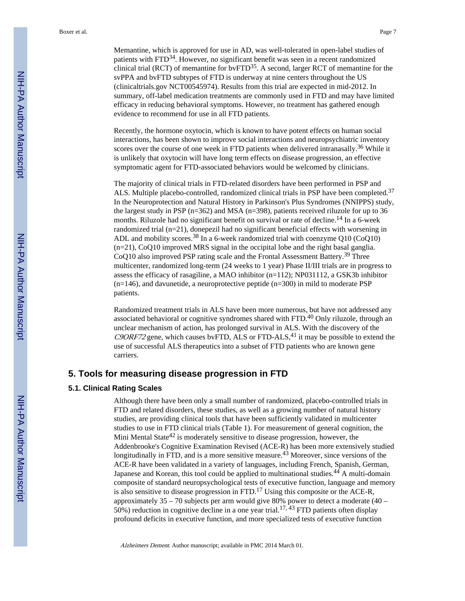Memantine, which is approved for use in AD, was well-tolerated in open-label studies of patients with FTD34. However, no significant benefit was seen in a recent randomized clinical trial (RCT) of memantine for bvFTD35. A second, larger RCT of memantine for the svPPA and bvFTD subtypes of FTD is underway at nine centers throughout the US (clinicaltrials.gov NCT00545974). Results from this trial are expected in mid-2012. In summary, off-label medication treatments are commonly used in FTD and may have limited efficacy in reducing behavioral symptoms. However, no treatment has gathered enough evidence to recommend for use in all FTD patients.

Recently, the hormone oxytocin, which is known to have potent effects on human social interactions, has been shown to improve social interactions and neuropsychiatric inventory scores over the course of one week in FTD patients when delivered intranasally.<sup>36</sup> While it is unlikely that oxytocin will have long term effects on disease progression, an effective symptomatic agent for FTD-associated behaviors would be welcomed by clinicians.

The majority of clinical trials in FTD-related disorders have been performed in PSP and ALS. Multiple placebo-controlled, randomized clinical trials in PSP have been completed.<sup>37</sup> In the Neuroprotection and Natural History in Parkinson's Plus Syndromes (NNIPPS) study, the largest study in PSP (n=362) and MSA (n=398), patients received riluzole for up to 36 months. Riluzole had no significant benefit on survival or rate of decline.<sup>14</sup> In a 6-week randomized trial (n=21), donepezil had no significant beneficial effects with worsening in ADL and mobility scores.<sup>38</sup> In a 6-week randomized trial with coenzyme  $Q10$  (Co $Q10$ ) (n=21), CoQ10 improved MRS signal in the occipital lobe and the right basal ganglia. CoQ10 also improved PSP rating scale and the Frontal Assessment Battery.<sup>39</sup> Three multicenter, randomized long-term (24 weeks to 1 year) Phase II/III trials are in progress to assess the efficacy of rasagiline, a MAO inhibitor (n=112); NP031112, a GSK3b inhibitor (n=146), and davunetide, a neuroprotective peptide (n=300) in mild to moderate PSP patients.

Randomized treatment trials in ALS have been more numerous, but have not addressed any associated behavioral or cognitive syndromes shared with FTD.40 Only riluzole, through an unclear mechanism of action, has prolonged survival in ALS. With the discovery of the  $C9ORF72$  gene, which causes bvFTD, ALS or FTD-ALS,<sup>41</sup> it may be possible to extend the use of successful ALS therapeutics into a subset of FTD patients who are known gene carriers.

#### **5. Tools for measuring disease progression in FTD**

#### **5.1. Clinical Rating Scales**

Although there have been only a small number of randomized, placebo-controlled trials in FTD and related disorders, these studies, as well as a growing number of natural history studies, are providing clinical tools that have been sufficiently validated in multicenter studies to use in FTD clinical trials (Table 1). For measurement of general cognition, the Mini Mental State $42$  is moderately sensitive to disease progression, however, the Addenbrooke's Cognitive Examination Revised (ACE-R) has been more extensively studied longitudinally in FTD, and is a more sensitive measure.<sup>43</sup> Moreover, since versions of the ACE-R have been validated in a variety of languages, including French, Spanish, German, Japanese and Korean, this tool could be applied to multinational studies.<sup>44</sup> A multi-domain composite of standard neuropsychological tests of executive function, language and memory is also sensitive to disease progression in FTD.<sup>17</sup> Using this composite or the ACE-R, approximately 35 – 70 subjects per arm would give 80% power to detect a moderate (40 – 50%) reduction in cognitive decline in a one year trial.<sup>17, 43</sup> FTD patients often display profound deficits in executive function, and more specialized tests of executive function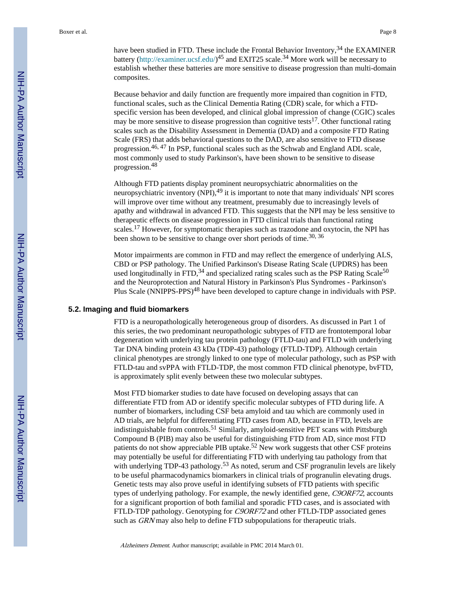have been studied in FTD. These include the Frontal Behavior Inventory,  $34$  the EXAMINER battery ([http://examiner.ucsf.edu/\)](http://examiner.ucsf.edu/)<sup>45</sup> and EXIT25 scale.<sup>34</sup> More work will be necessary to establish whether these batteries are more sensitive to disease progression than multi-domain composites.

Because behavior and daily function are frequently more impaired than cognition in FTD, functional scales, such as the Clinical Dementia Rating (CDR) scale, for which a FTDspecific version has been developed, and clinical global impression of change (CGIC) scales may be more sensitive to disease progression than cognitive tests<sup>17</sup>. Other functional rating scales such as the Disability Assessment in Dementia (DAD) and a composite FTD Rating Scale (FRS) that adds behavioral questions to the DAD, are also sensitive to FTD disease progression.46, 47 In PSP, functional scales such as the Schwab and England ADL scale, most commonly used to study Parkinson's, have been shown to be sensitive to disease progression.<sup>48</sup>

Although FTD patients display prominent neuropsychiatric abnormalities on the neuropsychiatric inventory (NPI),<sup>49</sup> it is important to note that many individuals' NPI scores will improve over time without any treatment, presumably due to increasingly levels of apathy and withdrawal in advanced FTD. This suggests that the NPI may be less sensitive to therapeutic effects on disease progression in FTD clinical trials than functional rating scales.17 However, for symptomatic therapies such as trazodone and oxytocin, the NPI has been shown to be sensitive to change over short periods of time.  $30, 36$ 

Motor impairments are common in FTD and may reflect the emergence of underlying ALS, CBD or PSP pathology. The Unified Parkinson's Disease Rating Scale (UPDRS) has been used longitudinally in FTD, $34$  and specialized rating scales such as the PSP Rating Scale $50$ and the Neuroprotection and Natural History in Parkinson's Plus Syndromes - Parkinson's Plus Scale (NNIPPS-PPS)<sup>48</sup> have been developed to capture change in individuals with PSP.

#### **5.2. Imaging and fluid biomarkers**

FTD is a neuropathologically heterogeneous group of disorders. As discussed in Part 1 of this series, the two predominant neuropathologic subtypes of FTD are frontotemporal lobar degeneration with underlying tau protein pathology (FTLD-tau) and FTLD with underlying Tar DNA binding protein 43 kDa (TDP-43) pathology (FTLD-TDP). Although certain clinical phenotypes are strongly linked to one type of molecular pathology, such as PSP with FTLD-tau and svPPA with FTLD-TDP, the most common FTD clinical phenotype, bvFTD, is approximately split evenly between these two molecular subtypes.

Most FTD biomarker studies to date have focused on developing assays that can differentiate FTD from AD or identify specific molecular subtypes of FTD during life. A number of biomarkers, including CSF beta amyloid and tau which are commonly used in AD trials, are helpful for differentiating FTD cases from AD, because in FTD, levels are indistinguishable from controls.<sup>51</sup> Similarly, amyloid-sensitive PET scans with Pittsburgh Compound B (PIB) may also be useful for distinguishing FTD from AD, since most FTD patients do not show appreciable PIB uptake.<sup>52</sup> New work suggests that other CSF proteins may potentially be useful for differentiating FTD with underlying tau pathology from that with underlying TDP-43 pathology.<sup>53</sup> As noted, serum and CSF progranulin levels are likely to be useful pharmacodynamics biomarkers in clinical trials of progranulin elevating drugs. Genetic tests may also prove useful in identifying subsets of FTD patients with specific types of underlying pathology. For example, the newly identified gene, C9ORF72, accounts for a significant proportion of both familial and sporadic FTD cases, and is associated with FTLD-TDP pathology. Genotyping for C9ORF72 and other FTLD-TDP associated genes such as GRN may also help to define FTD subpopulations for the rapeutic trials.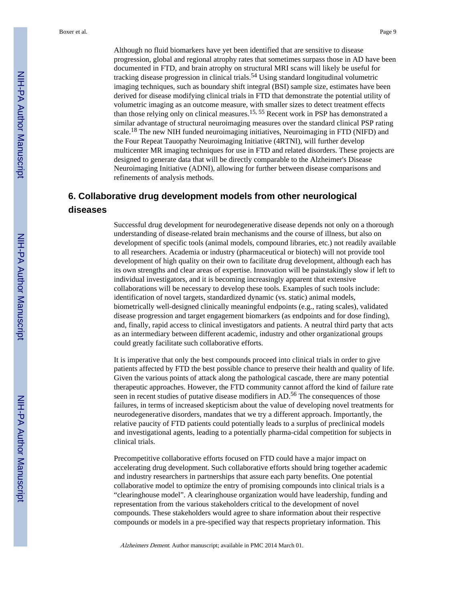Although no fluid biomarkers have yet been identified that are sensitive to disease progression, global and regional atrophy rates that sometimes surpass those in AD have been documented in FTD, and brain atrophy on structural MRI scans will likely be useful for tracking disease progression in clinical trials.<sup>54</sup> Using standard longitudinal volumetric imaging techniques, such as boundary shift integral (BSI) sample size, estimates have been derived for disease modifying clinical trials in FTD that demonstrate the potential utility of volumetric imaging as an outcome measure, with smaller sizes to detect treatment effects than those relying only on clinical measures.<sup>15, 55</sup> Recent work in PSP has demonstrated a similar advantage of structural neuroimaging measures over the standard clinical PSP rating scale.18 The new NIH funded neuroimaging initiatives, Neuroimaging in FTD (NIFD) and the Four Repeat Tauopathy Neuroimaging Initiative (4RTNI), will further develop multicenter MR imaging techniques for use in FTD and related disorders. These projects are designed to generate data that will be directly comparable to the Alzheimer's Disease Neuroimaging Initiative (ADNI), allowing for further between disease comparisons and refinements of analysis methods.

#### **6. Collaborative drug development models from other neurological diseases**

Successful drug development for neurodegenerative disease depends not only on a thorough understanding of disease-related brain mechanisms and the course of illness, but also on development of specific tools (animal models, compound libraries, etc.) not readily available to all researchers. Academia or industry (pharmaceutical or biotech) will not provide tool development of high quality on their own to facilitate drug development, although each has its own strengths and clear areas of expertise. Innovation will be painstakingly slow if left to individual investigators, and it is becoming increasingly apparent that extensive collaborations will be necessary to develop these tools. Examples of such tools include: identification of novel targets, standardized dynamic (vs. static) animal models, biometrically well-designed clinically meaningful endpoints (e.g., rating scales), validated disease progression and target engagement biomarkers (as endpoints and for dose finding), and, finally, rapid access to clinical investigators and patients. A neutral third party that acts as an intermediary between different academic, industry and other organizational groups could greatly facilitate such collaborative efforts.

It is imperative that only the best compounds proceed into clinical trials in order to give patients affected by FTD the best possible chance to preserve their health and quality of life. Given the various points of attack along the pathological cascade, there are many potential therapeutic approaches. However, the FTD community cannot afford the kind of failure rate seen in recent studies of putative disease modifiers in AD.<sup>56</sup> The consequences of those failures, in terms of increased skepticism about the value of developing novel treatments for neurodegenerative disorders, mandates that we try a different approach. Importantly, the relative paucity of FTD patients could potentially leads to a surplus of preclinical models and investigational agents, leading to a potentially pharma-cidal competition for subjects in clinical trials.

Precompetitive collaborative efforts focused on FTD could have a major impact on accelerating drug development. Such collaborative efforts should bring together academic and industry researchers in partnerships that assure each party benefits. One potential collaborative model to optimize the entry of promising compounds into clinical trials is a "clearinghouse model". A clearinghouse organization would have leadership, funding and representation from the various stakeholders critical to the development of novel compounds. These stakeholders would agree to share information about their respective compounds or models in a pre-specified way that respects proprietary information. This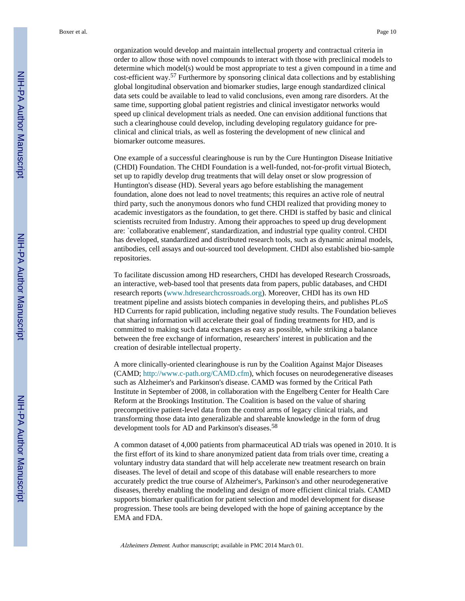Boxer et al. Page 10

organization would develop and maintain intellectual property and contractual criteria in order to allow those with novel compounds to interact with those with preclinical models to determine which model(s) would be most appropriate to test a given compound in a time and cost-efficient way.57 Furthermore by sponsoring clinical data collections and by establishing global longitudinal observation and biomarker studies, large enough standardized clinical data sets could be available to lead to valid conclusions, even among rare disorders. At the same time, supporting global patient registries and clinical investigator networks would speed up clinical development trials as needed. One can envision additional functions that such a clearinghouse could develop, including developing regulatory guidance for preclinical and clinical trials, as well as fostering the development of new clinical and biomarker outcome measures.

One example of a successful clearinghouse is run by the Cure Huntington Disease Initiative (CHDI) Foundation. The CHDI Foundation is a well-funded, not-for-profit virtual Biotech, set up to rapidly develop drug treatments that will delay onset or slow progression of Huntington's disease (HD). Several years ago before establishing the management foundation, alone does not lead to novel treatments; this requires an active role of neutral third party, such the anonymous donors who fund CHDI realized that providing money to academic investigators as the foundation, to get there. CHDI is staffed by basic and clinical scientists recruited from Industry. Among their approaches to speed up drug development are: `collaborative enablement', standardization, and industrial type quality control. CHDI has developed, standardized and distributed research tools, such as dynamic animal models, antibodies, cell assays and out-sourced tool development. CHDI also established bio-sample repositories.

To facilitate discussion among HD researchers, CHDI has developed Research Crossroads, an interactive, web-based tool that presents data from papers, public databases, and CHDI research reports [\(www.hdresearchcrossroads.org\)](http://www.hdresearchcrossroads.org). Moreover, CHDI has its own HD treatment pipeline and assists biotech companies in developing theirs, and publishes PLoS HD Currents for rapid publication, including negative study results. The Foundation believes that sharing information will accelerate their goal of finding treatments for HD, and is committed to making such data exchanges as easy as possible, while striking a balance between the free exchange of information, researchers' interest in publication and the creation of desirable intellectual property.

A more clinically-oriented clearinghouse is run by the Coalition Against Major Diseases (CAMD; <http://www.c-path.org/CAMD.cfm>), which focuses on neurodegenerative diseases such as Alzheimer's and Parkinson's disease. CAMD was formed by the Critical Path Institute in September of 2008, in collaboration with the Engelberg Center for Health Care Reform at the Brookings Institution. The Coalition is based on the value of sharing precompetitive patient-level data from the control arms of legacy clinical trials, and transforming those data into generalizable and shareable knowledge in the form of drug development tools for AD and Parkinson's diseases.<sup>58</sup>

A common dataset of 4,000 patients from pharmaceutical AD trials was opened in 2010. It is the first effort of its kind to share anonymized patient data from trials over time, creating a voluntary industry data standard that will help accelerate new treatment research on brain diseases. The level of detail and scope of this database will enable researchers to more accurately predict the true course of Alzheimer's, Parkinson's and other neurodegenerative diseases, thereby enabling the modeling and design of more efficient clinical trials. CAMD supports biomarker qualification for patient selection and model development for disease progression. These tools are being developed with the hope of gaining acceptance by the EMA and FDA.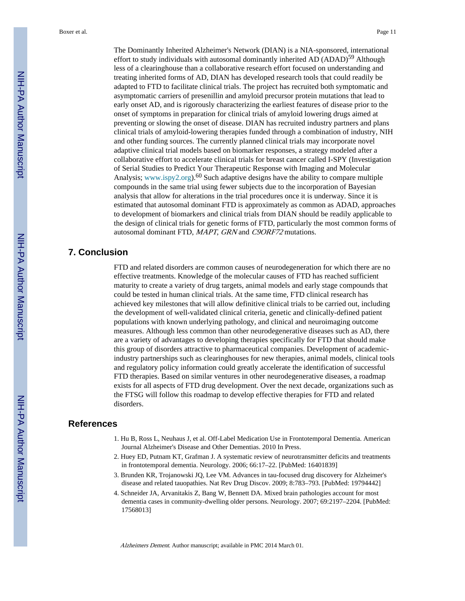The Dominantly Inherited Alzheimer's Network (DIAN) is a NIA-sponsored, international effort to study individuals with autosomal dominantly inherited AD (ADAD)<sup>59</sup> Although less of a clearinghouse than a collaborative research effort focused on understanding and treating inherited forms of AD, DIAN has developed research tools that could readily be adapted to FTD to facilitate clinical trials. The project has recruited both symptomatic and asymptomatic carriers of presenillin and amyloid precursor protein mutations that lead to early onset AD, and is rigorously characterizing the earliest features of disease prior to the onset of symptoms in preparation for clinical trials of amyloid lowering drugs aimed at preventing or slowing the onset of disease. DIAN has recruited industry partners and plans clinical trials of amyloid-lowering therapies funded through a combination of industry, NIH and other funding sources. The currently planned clinical trials may incorporate novel adaptive clinical trial models based on biomarker responses, a strategy modeled after a collaborative effort to accelerate clinical trials for breast cancer called I-SPY (Investigation of Serial Studies to Predict Your Therapeutic Response with Imaging and Molecular Analysis; [www.ispy2.org\)](http://www.ispy2.org).<sup>60</sup> Such adaptive designs have the ability to compare multiple compounds in the same trial using fewer subjects due to the incorporation of Bayesian analysis that allow for alterations in the trial procedures once it is underway. Since it is estimated that autosomal dominant FTD is approximately as common as ADAD, approaches to development of biomarkers and clinical trials from DIAN should be readily applicable to the design of clinical trials for genetic forms of FTD, particularly the most common forms of autosomal dominant FTD, MAPT, GRN and C9ORF72 mutations.

#### **7. Conclusion**

FTD and related disorders are common causes of neurodegeneration for which there are no effective treatments. Knowledge of the molecular causes of FTD has reached sufficient maturity to create a variety of drug targets, animal models and early stage compounds that could be tested in human clinical trials. At the same time, FTD clinical research has achieved key milestones that will allow definitive clinical trials to be carried out, including the development of well-validated clinical criteria, genetic and clinically-defined patient populations with known underlying pathology, and clinical and neuroimaging outcome measures. Although less common than other neurodegenerative diseases such as AD, there are a variety of advantages to developing therapies specifically for FTD that should make this group of disorders attractive to pharmaceutical companies. Development of academicindustry partnerships such as clearinghouses for new therapies, animal models, clinical tools and regulatory policy information could greatly accelerate the identification of successful FTD therapies. Based on similar ventures in other neurodegenerative diseases, a roadmap exists for all aspects of FTD drug development. Over the next decade, organizations such as the FTSG will follow this roadmap to develop effective therapies for FTD and related disorders.

#### **References**

- 1. Hu B, Ross L, Neuhaus J, et al. Off-Label Medication Use in Frontotemporal Dementia. American Journal Alzheimer's Disease and Other Dementias. 2010 In Press.
- 2. Huey ED, Putnam KT, Grafman J. A systematic review of neurotransmitter deficits and treatments in frontotemporal dementia. Neurology. 2006; 66:17–22. [PubMed: 16401839]
- 3. Brunden KR, Trojanowski JQ, Lee VM. Advances in tau-focused drug discovery for Alzheimer's disease and related tauopathies. Nat Rev Drug Discov. 2009; 8:783–793. [PubMed: 19794442]
- 4. Schneider JA, Arvanitakis Z, Bang W, Bennett DA. Mixed brain pathologies account for most dementia cases in community-dwelling older persons. Neurology. 2007; 69:2197–2204. [PubMed: 17568013]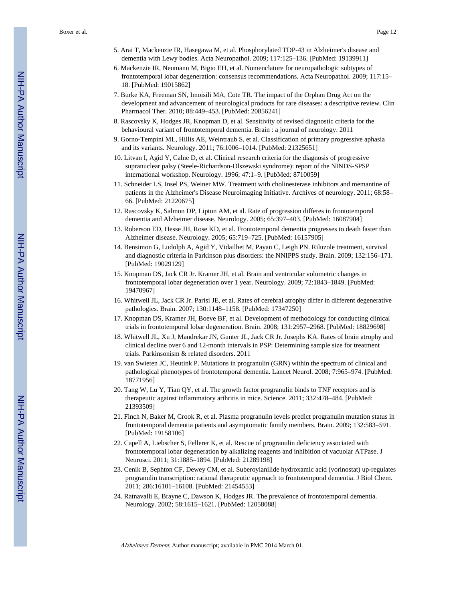- 5. Arai T, Mackenzie IR, Hasegawa M, et al. Phosphorylated TDP-43 in Alzheimer's disease and dementia with Lewy bodies. Acta Neuropathol. 2009; 117:125–136. [PubMed: 19139911]
- 6. Mackenzie IR, Neumann M, Bigio EH, et al. Nomenclature for neuropathologic subtypes of frontotemporal lobar degeneration: consensus recommendations. Acta Neuropathol. 2009; 117:15– 18. [PubMed: 19015862]
- 7. Burke KA, Freeman SN, Imoisili MA, Cote TR. The impact of the Orphan Drug Act on the development and advancement of neurological products for rare diseases: a descriptive review. Clin Pharmacol Ther. 2010; 88:449–453. [PubMed: 20856241]
- 8. Rascovsky K, Hodges JR, Knopman D, et al. Sensitivity of revised diagnostic criteria for the behavioural variant of frontotemporal dementia. Brain : a journal of neurology. 2011
- 9. Gorno-Tempini ML, Hillis AE, Weintraub S, et al. Classification of primary progressive aphasia and its variants. Neurology. 2011; 76:1006–1014. [PubMed: 21325651]
- 10. Litvan I, Agid Y, Calne D, et al. Clinical research criteria for the diagnosis of progressive supranuclear palsy (Steele-Richardson-Olszewski syndrome): report of the NINDS-SPSP international workshop. Neurology. 1996; 47:1–9. [PubMed: 8710059]
- 11. Schneider LS, Insel PS, Weiner MW. Treatment with cholinesterase inhibitors and memantine of patients in the Alzheimer's Disease Neuroimaging Initiative. Archives of neurology. 2011; 68:58– 66. [PubMed: 21220675]
- 12. Rascovsky K, Salmon DP, Lipton AM, et al. Rate of progression differes in frontotemporal dementia and Alzheimer disease. Neurology. 2005; 65:397–403. [PubMed: 16087904]
- 13. Roberson ED, Hesse JH, Rose KD, et al. Frontotemporal dementia progresses to death faster than Alzheimer disease. Neurology. 2005; 65:719–725. [PubMed: 16157905]
- 14. Bensimon G, Ludolph A, Agid Y, Vidailhet M, Payan C, Leigh PN. Riluzole treatment, survival and diagnostic criteria in Parkinson plus disorders: the NNIPPS study. Brain. 2009; 132:156–171. [PubMed: 19029129]
- 15. Knopman DS, Jack CR Jr. Kramer JH, et al. Brain and ventricular volumetric changes in frontotemporal lobar degeneration over 1 year. Neurology. 2009; 72:1843–1849. [PubMed: 19470967]
- 16. Whitwell JL, Jack CR Jr. Parisi JE, et al. Rates of cerebral atrophy differ in different degenerative pathologies. Brain. 2007; 130:1148–1158. [PubMed: 17347250]
- 17. Knopman DS, Kramer JH, Boeve BF, et al. Development of methodology for conducting clinical trials in frontotemporal lobar degeneration. Brain. 2008; 131:2957–2968. [PubMed: 18829698]
- 18. Whitwell JL, Xu J, Mandrekar JN, Gunter JL, Jack CR Jr. Josephs KA. Rates of brain atrophy and clinical decline over 6 and 12-month intervals in PSP: Determining sample size for treatment trials. Parkinsonism & related disorders. 2011
- 19. van Swieten JC, Heutink P. Mutations in progranulin (GRN) within the spectrum of clinical and pathological phenotypes of frontotemporal dementia. Lancet Neurol. 2008; 7:965–974. [PubMed: 18771956]
- 20. Tang W, Lu Y, Tian QY, et al. The growth factor progranulin binds to TNF receptors and is therapeutic against inflammatory arthritis in mice. Science. 2011; 332:478–484. [PubMed: 21393509]
- 21. Finch N, Baker M, Crook R, et al. Plasma progranulin levels predict progranulin mutation status in frontotemporal dementia patients and asymptomatic family members. Brain. 2009; 132:583–591. [PubMed: 19158106]
- 22. Capell A, Liebscher S, Fellerer K, et al. Rescue of progranulin deficiency associated with frontotemporal lobar degeneration by alkalizing reagents and inhibition of vacuolar ATPase. J Neurosci. 2011; 31:1885–1894. [PubMed: 21289198]
- 23. Cenik B, Sephton CF, Dewey CM, et al. Suberoylanilide hydroxamic acid (vorinostat) up-regulates progranulin transcription: rational therapeutic approach to frontotemporal dementia. J Biol Chem. 2011; 286:16101–16108. [PubMed: 21454553]
- 24. Ratnavalli E, Brayne C, Dawson K, Hodges JR. The prevalence of frontotemporal dementia. Neurology. 2002; 58:1615–1621. [PubMed: 12058088]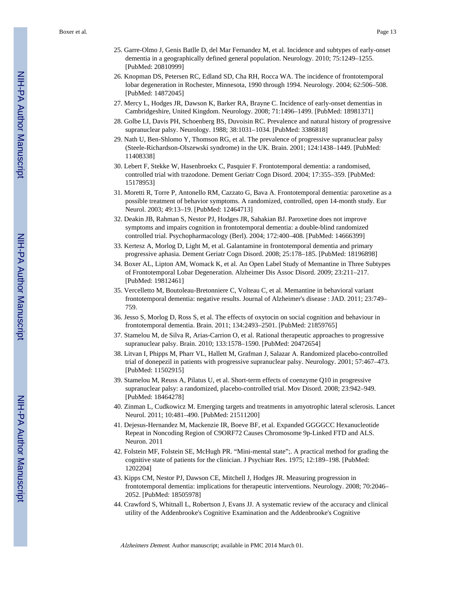- 25. Garre-Olmo J, Genis Batlle D, del Mar Fernandez M, et al. Incidence and subtypes of early-onset dementia in a geographically defined general population. Neurology. 2010; 75:1249–1255. [PubMed: 20810999]
- 26. Knopman DS, Petersen RC, Edland SD, Cha RH, Rocca WA. The incidence of frontotemporal lobar degeneration in Rochester, Minnesota, 1990 through 1994. Neurology. 2004; 62:506–508. [PubMed: 14872045]
- 27. Mercy L, Hodges JR, Dawson K, Barker RA, Brayne C. Incidence of early-onset dementias in Cambridgeshire, United Kingdom. Neurology. 2008; 71:1496–1499. [PubMed: 18981371]
- 28. Golbe LI, Davis PH, Schoenberg BS, Duvoisin RC. Prevalence and natural history of progressive supranuclear palsy. Neurology. 1988; 38:1031–1034. [PubMed: 3386818]
- 29. Nath U, Ben-Shlomo Y, Thomson RG, et al. The prevalence of progressive supranuclear palsy (Steele-Richardson-Olszewski syndrome) in the UK. Brain. 2001; 124:1438–1449. [PubMed: 11408338]
- 30. Lebert F, Stekke W, Hasenbroekx C, Pasquier F. Frontotemporal dementia: a randomised, controlled trial with trazodone. Dement Geriatr Cogn Disord. 2004; 17:355–359. [PubMed: 15178953]
- 31. Moretti R, Torre P, Antonello RM, Cazzato G, Bava A. Frontotemporal dementia: paroxetine as a possible treatment of behavior symptoms. A randomized, controlled, open 14-month study. Eur Neurol. 2003; 49:13–19. [PubMed: 12464713]
- 32. Deakin JB, Rahman S, Nestor PJ, Hodges JR, Sahakian BJ. Paroxetine does not improve symptoms and impairs cognition in frontotemporal dementia: a double-blind randomized controlled trial. Psychopharmacology (Berl). 2004; 172:400–408. [PubMed: 14666399]
- 33. Kertesz A, Morlog D, Light M, et al. Galantamine in frontotemporal dementia and primary progressive aphasia. Dement Geriatr Cogn Disord. 2008; 25:178–185. [PubMed: 18196898]
- 34. Boxer AL, Lipton AM, Womack K, et al. An Open Label Study of Memantine in Three Subtypes of Frontotemporal Lobar Degeneration. Alzheimer Dis Assoc Disord. 2009; 23:211–217. [PubMed: 19812461]
- 35. Vercelletto M, Boutoleau-Bretonniere C, Volteau C, et al. Memantine in behavioral variant frontotemporal dementia: negative results. Journal of Alzheimer's disease : JAD. 2011; 23:749– 759.
- 36. Jesso S, Morlog D, Ross S, et al. The effects of oxytocin on social cognition and behaviour in frontotemporal dementia. Brain. 2011; 134:2493–2501. [PubMed: 21859765]
- 37. Stamelou M, de Silva R, Arias-Carrion O, et al. Rational therapeutic approaches to progressive supranuclear palsy. Brain. 2010; 133:1578–1590. [PubMed: 20472654]
- 38. Litvan I, Phipps M, Pharr VL, Hallett M, Grafman J, Salazar A. Randomized placebo-controlled trial of donepezil in patients with progressive supranuclear palsy. Neurology. 2001; 57:467–473. [PubMed: 11502915]
- 39. Stamelou M, Reuss A, Pilatus U, et al. Short-term effects of coenzyme Q10 in progressive supranuclear palsy: a randomized, placebo-controlled trial. Mov Disord. 2008; 23:942–949. [PubMed: 18464278]
- 40. Zinman L, Cudkowicz M. Emerging targets and treatments in amyotrophic lateral sclerosis. Lancet Neurol. 2011; 10:481–490. [PubMed: 21511200]
- 41. Dejesus-Hernandez M, Mackenzie IR, Boeve BF, et al. Expanded GGGGCC Hexanucleotide Repeat in Noncoding Region of C9ORF72 Causes Chromosome 9p-Linked FTD and ALS. Neuron. 2011
- 42. Folstein MF, Folstein SE, McHugh PR. "Mini-mental state";. A practical method for grading the cognitive state of patients for the clinician. J Psychiatr Res. 1975; 12:189–198. [PubMed: 1202204]
- 43. Kipps CM, Nestor PJ, Dawson CE, Mitchell J, Hodges JR. Measuring progression in frontotemporal dementia: implications for therapeutic interventions. Neurology. 2008; 70:2046– 2052. [PubMed: 18505978]
- 44. Crawford S, Whitnall L, Robertson J, Evans JJ. A systematic review of the accuracy and clinical utility of the Addenbrooke's Cognitive Examination and the Addenbrooke's Cognitive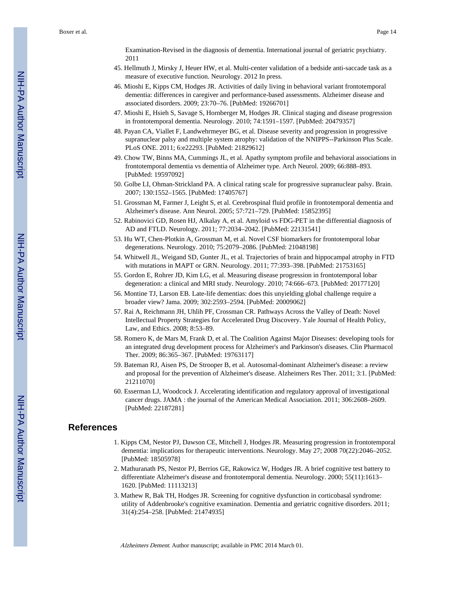Examination-Revised in the diagnosis of dementia. International journal of geriatric psychiatry. 2011

- 45. Hellmuth J, Mirsky J, Heuer HW, et al. Multi-center validation of a bedside anti-saccade task as a measure of executive function. Neurology. 2012 In press.
- 46. Mioshi E, Kipps CM, Hodges JR. Activities of daily living in behavioral variant frontotemporal dementia: differences in caregiver and performance-based assessments. Alzheimer disease and associated disorders. 2009; 23:70–76. [PubMed: 19266701]
- 47. Mioshi E, Hsieh S, Savage S, Hornberger M, Hodges JR. Clinical staging and disease progression in frontotemporal dementia. Neurology. 2010; 74:1591–1597. [PubMed: 20479357]
- 48. Payan CA, Viallet F, Landwehrmeyer BG, et al. Disease severity and progression in progressive supranuclear palsy and multiple system atrophy: validation of the NNIPPS--Parkinson Plus Scale. PLoS ONE. 2011; 6:e22293. [PubMed: 21829612]
- 49. Chow TW, Binns MA, Cummings JL, et al. Apathy symptom profile and behavioral associations in frontotemporal dementia vs dementia of Alzheimer type. Arch Neurol. 2009; 66:888–893. [PubMed: 19597092]
- 50. Golbe LI, Ohman-Strickland PA. A clinical rating scale for progressive supranuclear palsy. Brain. 2007; 130:1552–1565. [PubMed: 17405767]
- 51. Grossman M, Farmer J, Leight S, et al. Cerebrospinal fluid profile in frontotemporal dementia and Alzheimer's disease. Ann Neurol. 2005; 57:721–729. [PubMed: 15852395]
- 52. Rabinovici GD, Rosen HJ, Alkalay A, et al. Amyloid vs FDG-PET in the differential diagnosis of AD and FTLD. Neurology. 2011; 77:2034–2042. [PubMed: 22131541]
- 53. Hu WT, Chen-Plotkin A, Grossman M, et al. Novel CSF biomarkers for frontotemporal lobar degenerations. Neurology. 2010; 75:2079–2086. [PubMed: 21048198]
- 54. Whitwell JL, Weigand SD, Gunter JL, et al. Trajectories of brain and hippocampal atrophy in FTD with mutations in MAPT or GRN. Neurology. 2011; 77:393–398. [PubMed: 21753165]
- 55. Gordon E, Rohrer JD, Kim LG, et al. Measuring disease progression in frontotemporal lobar degeneration: a clinical and MRI study. Neurology. 2010; 74:666–673. [PubMed: 20177120]
- 56. Montine TJ, Larson EB. Late-life dementias: does this unyielding global challenge require a broader view? Jama. 2009; 302:2593–2594. [PubMed: 20009062]
- 57. Rai A, Reichmann JH, Uhlih PF, Crossman CR. Pathways Across the Valley of Death: Novel Intellectual Property Strategies for Accelerated Drug Discovery. Yale Journal of Health Policy, Law, and Ethics. 2008; 8:53–89.
- 58. Romero K, de Mars M, Frank D, et al. The Coalition Against Major Diseases: developing tools for an integrated drug development process for Alzheimer's and Parkinson's diseases. Clin Pharmacol Ther. 2009; 86:365–367. [PubMed: 19763117]
- 59. Bateman RJ, Aisen PS, De Strooper B, et al. Autosomal-dominant Alzheimer's disease: a review and proposal for the prevention of Alzheimer's disease. Alzheimers Res Ther. 2011; 3:1. [PubMed: 21211070]
- 60. Esserman LJ, Woodcock J. Accelerating identification and regulatory approval of investigational cancer drugs. JAMA : the journal of the American Medical Association. 2011; 306:2608–2609. [PubMed: 22187281]

#### **References**

- 1. Kipps CM, Nestor PJ, Dawson CE, Mitchell J, Hodges JR. Measuring progression in frontotemporal dementia: implications for therapeutic interventions. Neurology. May 27; 2008 70(22):2046–2052. [PubMed: 18505978]
- 2. Mathuranath PS, Nestor PJ, Berrios GE, Rakowicz W, Hodges JR. A brief cognitive test battery to differentiate Alzheimer's disease and frontotemporal dementia. Neurology. 2000; 55(11):1613– 1620. [PubMed: 11113213]
- 3. Mathew R, Bak TH, Hodges JR. Screening for cognitive dysfunction in corticobasal syndrome: utility of Addenbrooke's cognitive examination. Dementia and geriatric cognitive disorders. 2011; 31(4):254–258. [PubMed: 21474935]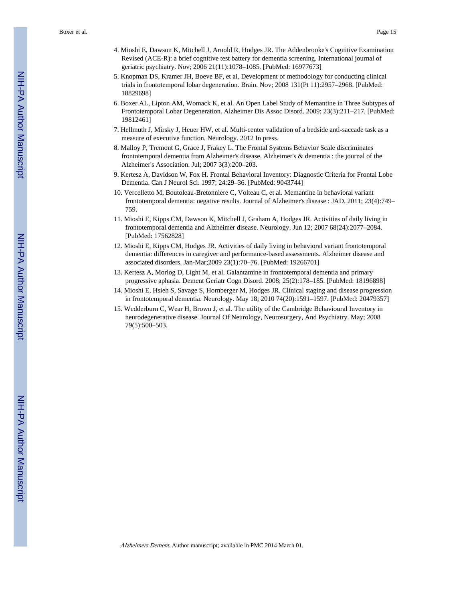- 4. Mioshi E, Dawson K, Mitchell J, Arnold R, Hodges JR. The Addenbrooke's Cognitive Examination Revised (ACE-R): a brief cognitive test battery for dementia screening. International journal of geriatric psychiatry. Nov; 2006 21(11):1078–1085. [PubMed: 16977673]
- 5. Knopman DS, Kramer JH, Boeve BF, et al. Development of methodology for conducting clinical trials in frontotemporal lobar degeneration. Brain. Nov; 2008 131(Pt 11):2957–2968. [PubMed: 18829698]
- 6. Boxer AL, Lipton AM, Womack K, et al. An Open Label Study of Memantine in Three Subtypes of Frontotemporal Lobar Degeneration. Alzheimer Dis Assoc Disord. 2009; 23(3):211–217. [PubMed: 19812461]
- 7. Hellmuth J, Mirsky J, Heuer HW, et al. Multi-center validation of a bedside anti-saccade task as a measure of executive function. Neurology. 2012 In press.
- 8. Malloy P, Tremont G, Grace J, Frakey L. The Frontal Systems Behavior Scale discriminates frontotemporal dementia from Alzheimer's disease. Alzheimer's & dementia : the journal of the Alzheimer's Association. Jul; 2007 3(3):200–203.
- 9. Kertesz A, Davidson W, Fox H. Frontal Behavioral Inventory: Diagnostic Criteria for Frontal Lobe Dementia. Can J Neurol Sci. 1997; 24:29–36. [PubMed: 9043744]
- 10. Vercelletto M, Boutoleau-Bretonniere C, Volteau C, et al. Memantine in behavioral variant frontotemporal dementia: negative results. Journal of Alzheimer's disease : JAD. 2011; 23(4):749– 759.
- 11. Mioshi E, Kipps CM, Dawson K, Mitchell J, Graham A, Hodges JR. Activities of daily living in frontotemporal dementia and Alzheimer disease. Neurology. Jun 12; 2007 68(24):2077–2084. [PubMed: 17562828]
- 12. Mioshi E, Kipps CM, Hodges JR. Activities of daily living in behavioral variant frontotemporal dementia: differences in caregiver and performance-based assessments. Alzheimer disease and associated disorders. Jan-Mar;2009 23(1):70–76. [PubMed: 19266701]
- 13. Kertesz A, Morlog D, Light M, et al. Galantamine in frontotemporal dementia and primary progressive aphasia. Dement Geriatr Cogn Disord. 2008; 25(2):178–185. [PubMed: 18196898]
- 14. Mioshi E, Hsieh S, Savage S, Hornberger M, Hodges JR. Clinical staging and disease progression in frontotemporal dementia. Neurology. May 18; 2010 74(20):1591–1597. [PubMed: 20479357]
- 15. Wedderburn C, Wear H, Brown J, et al. The utility of the Cambridge Behavioural Inventory in neurodegenerative disease. Journal Of Neurology, Neurosurgery, And Psychiatry. May; 2008 79(5):500–503.